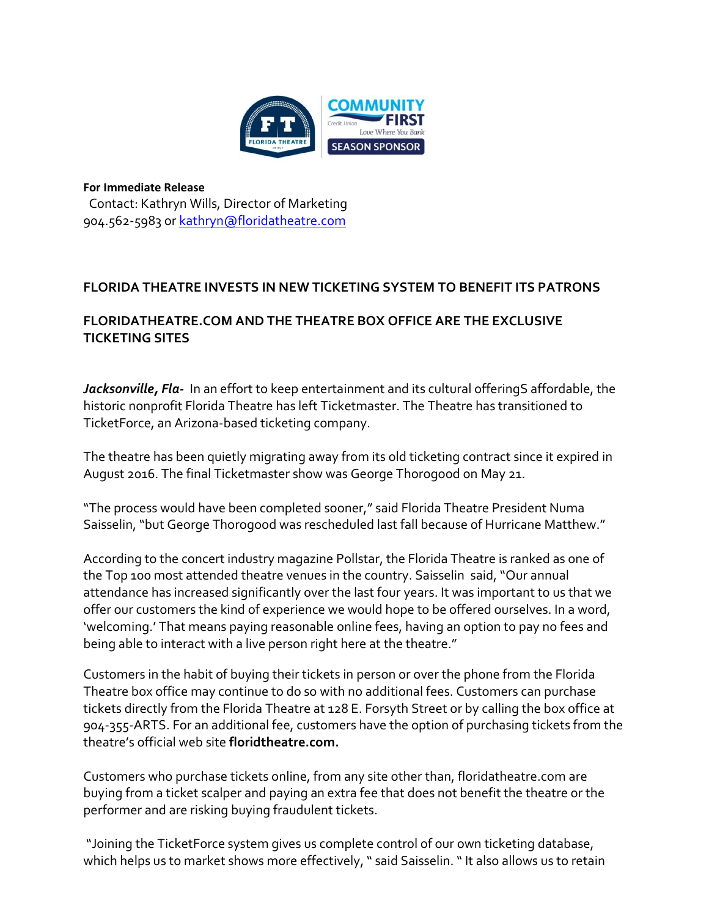

**For Immediate Release** Contact: Kathryn Wills, Director of Marketing 904.562-5983 or [kathryn@floridatheatre.com](mailto:kathryn@floridatheatre.com)

## **FLORIDA THEATRE INVESTS IN NEW TICKETING SYSTEM TO BENEFIT ITS PATRONS**

## **FLORIDATHEATRE.COM AND THE THEATRE BOX OFFICE ARE THE EXCLUSIVE TICKETING SITES**

Jacksonville, Fla-In an effort to keep entertainment and its cultural offeringS affordable, the historic nonprofit Florida Theatre has left Ticketmaster. The Theatre has transitioned to TicketForce, an Arizona-based ticketing company.

The theatre has been quietly migrating away from its old ticketing contract since it expired in August 2016. The final Ticketmaster show was George Thorogood on May 21.

"The process would have been completed sooner," said Florida Theatre President Numa Saisselin, "but George Thorogood was rescheduled last fall because of Hurricane Matthew."

According to the concert industry magazine Pollstar, the Florida Theatre is ranked as one of the Top 100 most attended theatre venues in the country. Saisselin said, "Our annual attendance has increased significantly over the last four years. It was important to us that we offer our customers the kind of experience we would hope to be offered ourselves. In a word, 'welcoming.' That means paying reasonable online fees, having an option to pay no fees and being able to interact with a live person right here at the theatre."

Customers in the habit of buying their tickets in person or over the phone from the Florida Theatre box office may continue to do so with no additional fees. Customers can purchase tickets directly from the Florida Theatre at 128 E. Forsyth Street or by calling the box office at 904-355-ARTS. For an additional fee, customers have the option of purchasing tickets from the theatre's official web site **floridtheatre.com.**

Customers who purchase tickets online, from any site other than, floridatheatre.com are buying from a ticket scalper and paying an extra fee that does not benefit the theatre or the performer and are risking buying fraudulent tickets.

"Joining the TicketForce system gives us complete control of our own ticketing database, which helps us to market shows more effectively, " said Saisselin. " It also allows us to retain